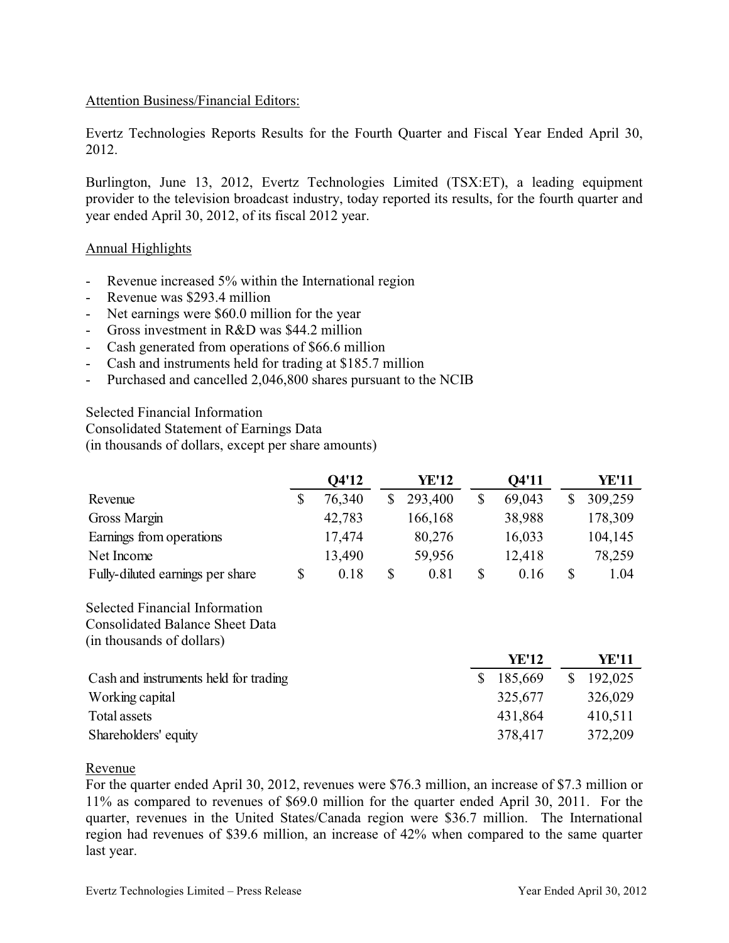#### Attention Business/Financial Editors:

Evertz Technologies Reports Results for the Fourth Quarter and Fiscal Year Ended April 30, 2012.

Burlington, June 13, 2012, Evertz Technologies Limited (TSX:ET), a leading equipment provider to the television broadcast industry, today reported its results, for the fourth quarter and year ended April 30, 2012, of its fiscal 2012 year.

#### Annual Highlights

- Revenue increased 5% within the International region
- Revenue was \$293.4 million
- Net earnings were \$60.0 million for the year
- Gross investment in  $R&D$  was \$44.2 million
- Cash generated from operations of \$66.6 million
- Cash and instruments held for trading at \$185.7 million
- Purchased and cancelled 2,046,800 shares pursuant to the NCIB

Selected Financial Information

Consolidated Statement of Earnings Data

(in thousands of dollars, except per share amounts)

|                                  | Q4'12  | YE'12   | Q4'11  | YE'11   |
|----------------------------------|--------|---------|--------|---------|
| Revenue                          | 76,340 | 293,400 | 69,043 | 309,259 |
| Gross Margin                     | 42,783 | 166,168 | 38,988 | 178,309 |
| Earnings from operations         | 17,474 | 80,276  | 16,033 | 104,145 |
| Net Income                       | 13,490 | 59,956  | 12,418 | 78,259  |
| Fully-diluted earnings per share | 0.18   | 0.81    | 0.16   | 1.04    |

Selected Financial Information Consolidated Balance Sheet Data (in thousands of dollars)

|                                       | YE'12   | YE'11   |
|---------------------------------------|---------|---------|
| Cash and instruments held for trading | 185,669 | 192,025 |
| Working capital                       | 325,677 | 326,029 |
| Total assets                          | 431,864 | 410,511 |
| Shareholders' equity                  | 378,417 | 372,209 |

#### Revenue

For the quarter ended April 30, 2012, revenues were \$76.3 million, an increase of \$7.3 million or 11% as compared to revenues of \$69.0 million for the quarter ended April 30, 2011. For the quarter, revenues in the United States/Canada region were \$36.7 million. The International region had revenues of \$39.6 million, an increase of 42% when compared to the same quarter last year.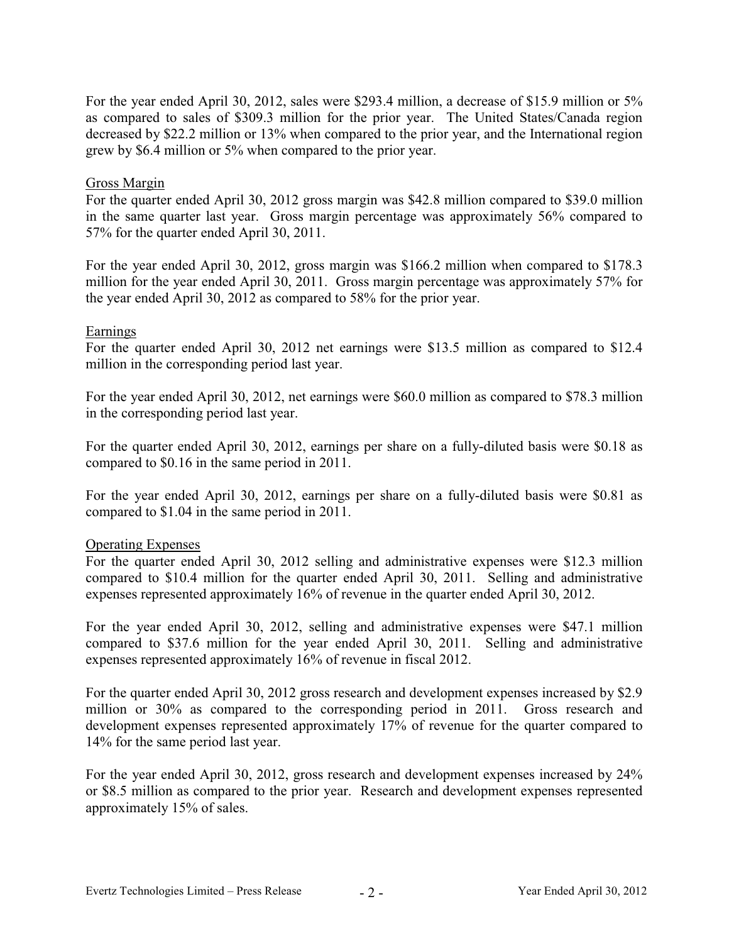For the year ended April 30, 2012, sales were \$293.4 million, a decrease of \$15.9 million or 5% as compared to sales of \$309.3 million for the prior year. The United States/Canada region decreased by \$22.2 million or 13% when compared to the prior year, and the International region grew by \$6.4 million or 5% when compared to the prior year.

#### Gross Margin

For the quarter ended April 30, 2012 gross margin was \$42.8 million compared to \$39.0 million in the same quarter last year. Gross margin percentage was approximately 56% compared to 57% for the quarter ended April 30, 2011.

For the year ended April 30, 2012, gross margin was \$166.2 million when compared to \$178.3 million for the year ended April 30, 2011. Gross margin percentage was approximately 57% for the year ended April 30, 2012 as compared to 58% for the prior year.

# Earnings

For the quarter ended April 30, 2012 net earnings were \$13.5 million as compared to \$12.4 million in the corresponding period last year.

For the year ended April 30, 2012, net earnings were \$60.0 million as compared to \$78.3 million in the corresponding period last year.

For the quarter ended April 30, 2012, earnings per share on a fully-diluted basis were \$0.18 as compared to \$0.16 in the same period in 2011.

For the year ended April 30, 2012, earnings per share on a fully-diluted basis were \$0.81 as compared to \$1.04 in the same period in 2011.

#### Operating Expenses

For the quarter ended April 30, 2012 selling and administrative expenses were \$12.3 million compared to \$10.4 million for the quarter ended April 30, 2011. Selling and administrative expenses represented approximately 16% of revenue in the quarter ended April 30, 2012.

For the year ended April 30, 2012, selling and administrative expenses were \$47.1 million compared to \$37.6 million for the year ended April 30, 2011. Selling and administrative expenses represented approximately 16% of revenue in fiscal 2012.

For the quarter ended April 30, 2012 gross research and development expenses increased by \$2.9 million or 30% as compared to the corresponding period in 2011. Gross research and development expenses represented approximately 17% of revenue for the quarter compared to 14% for the same period last year.

For the year ended April 30, 2012, gross research and development expenses increased by 24% or \$8.5 million as compared to the prior year. Research and development expenses represented approximately 15% of sales.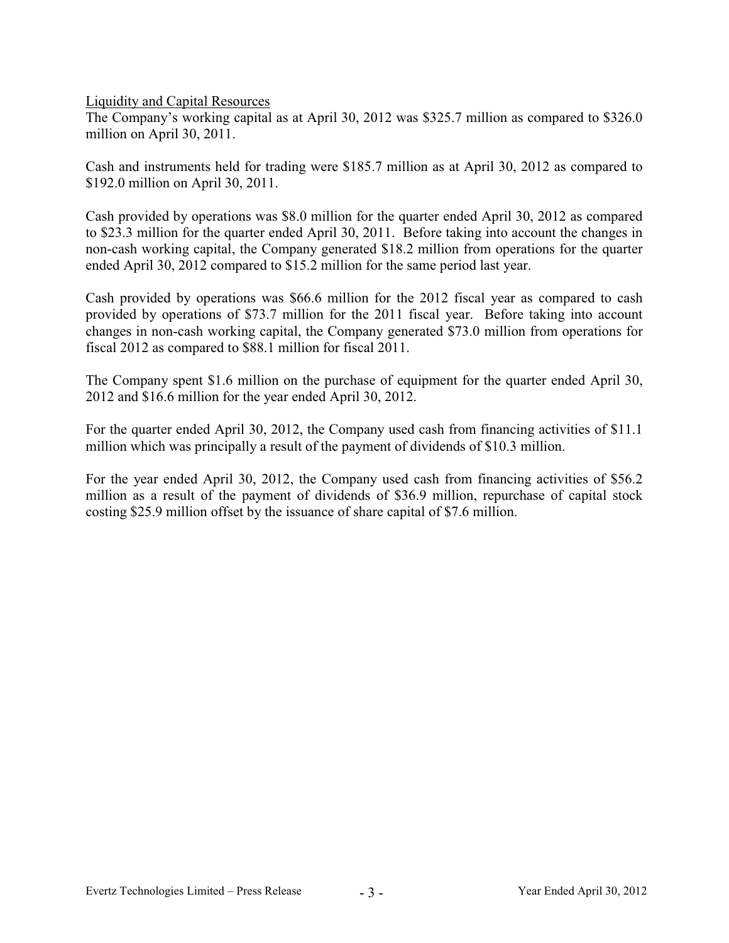Liquidity and Capital Resources

The Company's working capital as at April 30, 2012 was \$325.7 million as compared to \$326.0 million on April 30, 2011.

Cash and instruments held for trading were \$185.7 million as at April 30, 2012 as compared to \$192.0 million on April 30, 2011.

Cash provided by operations was \$8.0 million for the quarter ended April 30, 2012 as compared to \$23.3 million for the quarter ended April 30, 2011. Before taking into account the changes in non-cash working capital, the Company generated \$18.2 million from operations for the quarter ended April 30, 2012 compared to \$15.2 million for the same period last year.

Cash provided by operations was \$66.6 million for the 2012 fiscal year as compared to cash provided by operations of \$73.7 million for the 2011 fiscal year. Before taking into account changes in non-cash working capital, the Company generated \$73.0 million from operations for fiscal 2012 as compared to \$88.1 million for fiscal 2011.

The Company spent \$1.6 million on the purchase of equipment for the quarter ended April 30, 2012 and \$16.6 million for the year ended April 30, 2012.

For the quarter ended April 30, 2012, the Company used cash from financing activities of \$11.1 million which was principally a result of the payment of dividends of \$10.3 million.

For the year ended April 30, 2012, the Company used cash from financing activities of \$56.2 million as a result of the payment of dividends of \$36.9 million, repurchase of capital stock costing \$25.9 million offset by the issuance of share capital of \$7.6 million.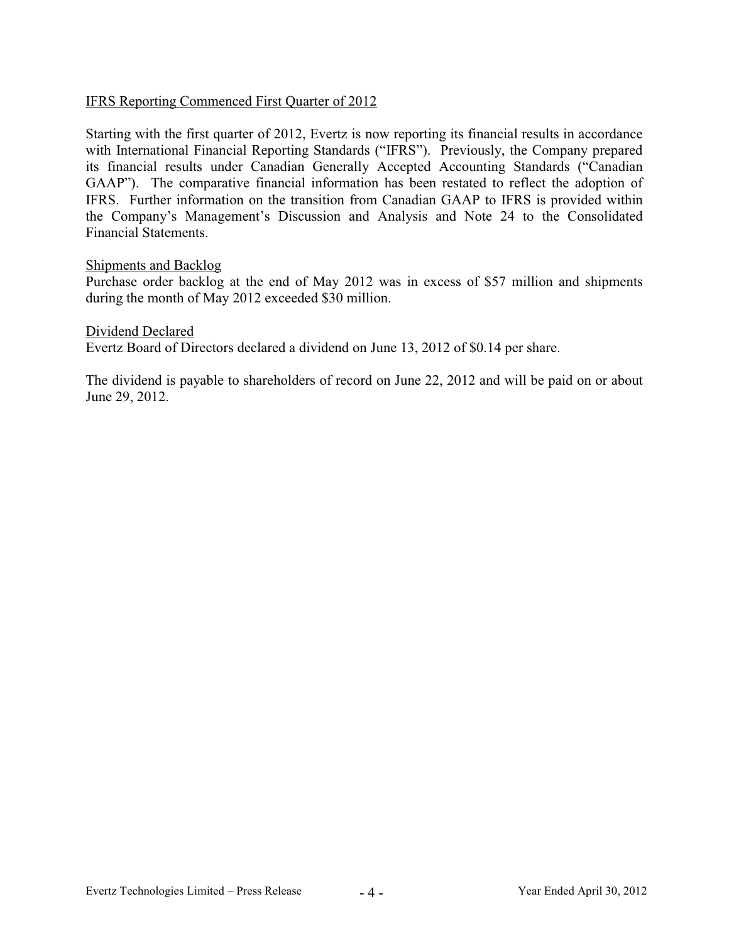# IFRS Reporting Commenced First Quarter of 2012

Starting with the first quarter of 2012, Evertz is now reporting its financial results in accordance with International Financial Reporting Standards ("IFRS"). Previously, the Company prepared its financial results under Canadian Generally Accepted Accounting Standards ("Canadian GAAP"). The comparative financial information has been restated to reflect the adoption of IFRS. Further information on the transition from Canadian GAAP to IFRS is provided within the Company's Management's Discussion and Analysis and Note 24 to the Consolidated Financial Statements.

#### Shipments and Backlog

Purchase order backlog at the end of May 2012 was in excess of \$57 million and shipments during the month of May 2012 exceeded \$30 million.

Dividend Declared Evertz Board of Directors declared a dividend on June 13, 2012 of \$0.14 per share.

The dividend is payable to shareholders of record on June 22, 2012 and will be paid on or about June 29, 2012.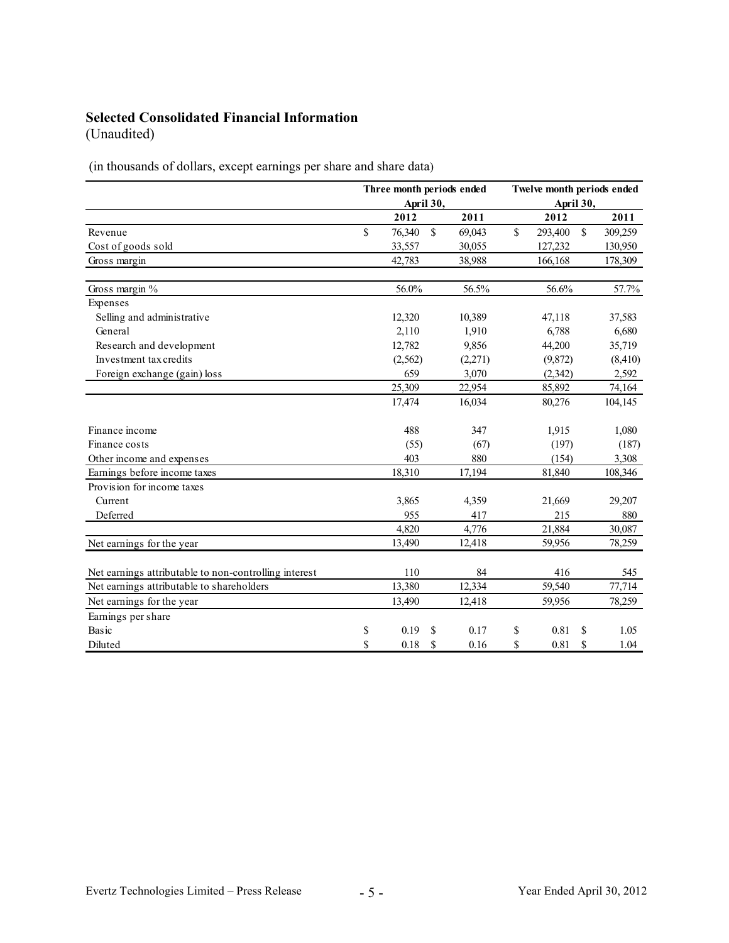# **Selected Consolidated Financial Information**

(Unaudited)

(in thousands of dollars, except earnings per share and share data)

|                                                       | Three month periods ended<br>April 30, |          |               |         | Twelve month periods ended<br>April 30, |          |              |          |
|-------------------------------------------------------|----------------------------------------|----------|---------------|---------|-----------------------------------------|----------|--------------|----------|
|                                                       |                                        | 2012     |               | 2011    |                                         | 2012     |              | 2011     |
| Revenue                                               | \$                                     | 76,340   | $\mathbb{S}$  | 69,043  | $\mathsf{\$}$                           | 293,400  | $\mathbb{S}$ | 309,259  |
| Cost of goods sold                                    |                                        | 33,557   |               | 30,055  |                                         | 127,232  |              | 130,950  |
| Gross margin                                          |                                        | 42,783   |               | 38,988  |                                         | 166,168  |              | 178,309  |
| Gross margin $%$                                      |                                        | 56.0%    |               | 56.5%   |                                         | 56.6%    |              | 57.7%    |
| Expenses                                              |                                        |          |               |         |                                         |          |              |          |
| Selling and administrative                            |                                        | 12,320   |               | 10,389  |                                         | 47,118   |              | 37,583   |
| General                                               |                                        | 2,110    |               | 1,910   |                                         | 6,788    |              | 6,680    |
| Research and development                              |                                        | 12,782   |               | 9,856   |                                         | 44,200   |              | 35,719   |
| Investment tax credits                                |                                        | (2, 562) |               | (2,271) |                                         | (9,872)  |              | (8, 410) |
| Foreign exchange (gain) loss                          |                                        | 659      |               | 3,070   |                                         | (2, 342) |              | 2,592    |
|                                                       |                                        | 25,309   |               | 22,954  |                                         | 85,892   |              | 74,164   |
|                                                       |                                        | 17,474   |               | 16,034  |                                         | 80,276   |              | 104,145  |
| Finance income                                        |                                        | 488      |               | 347     |                                         | 1,915    |              | 1,080    |
| Finance costs                                         |                                        | (55)     |               | (67)    |                                         | (197)    |              | (187)    |
| Other income and expenses                             |                                        | 403      |               | 880     |                                         | (154)    |              | 3,308    |
| Earnings before income taxes                          |                                        | 18,310   |               | 17,194  |                                         | 81,840   |              | 108,346  |
| Provision for income taxes                            |                                        |          |               |         |                                         |          |              |          |
| Current                                               |                                        | 3,865    |               | 4,359   |                                         | 21,669   |              | 29,207   |
| Deferred                                              |                                        | 955      |               | 417     |                                         | 215      |              | 880      |
|                                                       |                                        | 4,820    |               | 4,776   |                                         | 21,884   |              | 30,087   |
| Net earnings for the year                             |                                        | 13,490   |               | 12,418  |                                         | 59,956   |              | 78,259   |
| Net earnings attributable to non-controlling interest |                                        | 110      |               | 84      |                                         | 416      |              | 545      |
| Net earnings attributable to shareholders             |                                        | 13,380   |               | 12,334  |                                         | 59,540   |              | 77,714   |
| Net earnings for the year                             |                                        | 13,490   |               | 12,418  |                                         | 59,956   |              | 78,259   |
| Earnings per share                                    |                                        |          |               |         |                                         |          |              |          |
| Basic                                                 | \$                                     | 0.19     | S             | 0.17    | \$                                      | 0.81     | S            | 1.05     |
| Diluted                                               | \$                                     | 0.18     | <sup>\$</sup> | 0.16    | \$                                      | 0.81     | \$           | 1.04     |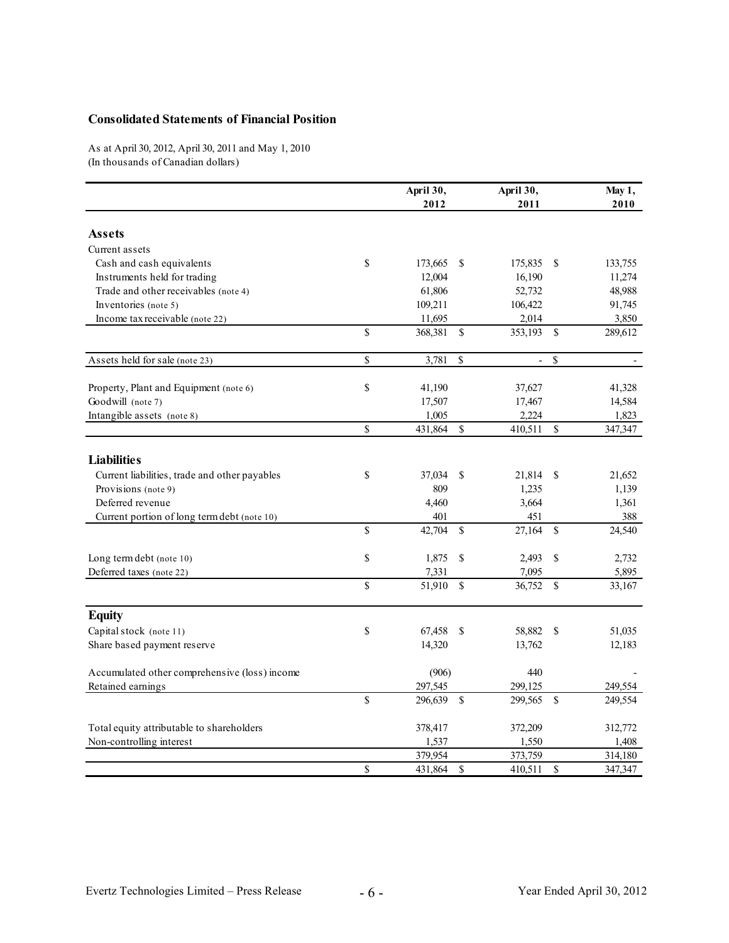#### **Consolidated Statements of Financial Position**

As at April 30, 2012, April 30, 2011 and May 1, 2010 (In thousands of Canadian dollars)

|                                               |              | April 30,<br>2012 |               | April 30,<br>2011        |               | May 1,<br>2010 |
|-----------------------------------------------|--------------|-------------------|---------------|--------------------------|---------------|----------------|
| <b>Assets</b>                                 |              |                   |               |                          |               |                |
| Current assets                                |              |                   |               |                          |               |                |
| Cash and cash equivalents                     | \$           | 173,665           | S             | 175,835                  | \$            | 133,755        |
| Instruments held for trading                  |              | 12,004            |               | 16,190                   |               | 11,274         |
| Trade and other receivables (note 4)          |              | 61,806            |               | 52,732                   |               | 48,988         |
| Inventories (note 5)                          |              | 109,211           |               | 106,422                  |               | 91,745         |
| Income tax receivable (note 22)               |              | 11,695            |               | 2,014                    |               | 3,850          |
|                                               | $\mathbf S$  | 368,381           | <sup>\$</sup> | 353,193 \$               |               | 289,612        |
| Assets held for sale (note 23)                | \$           | 3,781             | $\mathbf S$   | $\overline{\phantom{a}}$ | \$            |                |
| Property, Plant and Equipment (note 6)        | \$           | 41,190            |               | 37,627                   |               | 41,328         |
| Goodwill (note 7)                             |              | 17,507            |               | 17,467                   |               | 14,584         |
| Intangible assets (note 8)                    |              | 1,005             |               | 2,224                    |               | 1,823          |
|                                               | $\mathbb{S}$ | 431,864           | $\mathbb{S}$  | 410,511                  | $\mathbb{S}$  | 347,347        |
| <b>Liabilities</b>                            |              |                   |               |                          |               |                |
| Current liabilities, trade and other payables | \$           | 37,034            | <sup>S</sup>  | 21,814                   | - \$          | 21,652         |
| Provisions (note 9)                           |              | 809               |               | 1,235                    |               | 1,139          |
| Deferred revenue                              |              | 4,460             |               | 3,664                    |               | 1,361          |
| Current portion of long term debt (note 10)   |              | 401               |               | 451                      |               | 388            |
|                                               | \$           | 42,704            | $\mathbb{S}$  | 27,164                   | <sup>\$</sup> | 24,540         |
| Long term debt (note 10)                      | \$           | 1,875             | S             | 2,493                    | \$            | 2,732          |
| Deferred taxes (note 22)                      |              | 7,331             |               | 7,095                    |               | 5,895          |
|                                               | $\mathbf S$  | 51,910            | $\mathbf S$   | 36,752                   | <sup>\$</sup> | 33,167         |
| <b>Equity</b>                                 |              |                   |               |                          |               |                |
| Capital stock (note 11)                       | \$           | 67,458            | S             | 58,882                   | <sup>\$</sup> | 51,035         |
| Share based payment reserve                   |              | 14,320            |               | 13,762                   |               | 12,183         |
| Accumulated other comprehensive (loss) income |              | (906)             |               | 440                      |               |                |
| Retained earnings                             |              | 297,545           |               | 299,125                  |               | 249,554        |
|                                               | $\mathbb S$  | 296,639           | \$            | 299,565 \$               |               | 249,554        |
| Total equity attributable to shareholders     |              | 378,417           |               | 372,209                  |               | 312,772        |
| Non-controlling interest                      |              | 1,537             |               | 1,550                    |               | 1,408          |
|                                               |              | 379,954           |               | 373,759                  |               | 314,180        |
|                                               | \$           | 431,864           | \$            | 410,511                  | \$            | 347,347        |